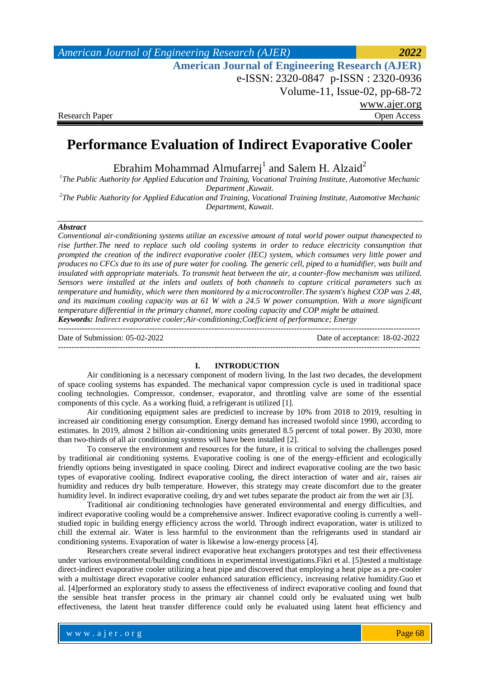*American Journal of Engineering Research (AJER) 2022*  **American Journal of Engineering Research (AJER)** e-ISSN: 2320-0847 p-ISSN : 2320-0936 Volume-11, Issue-02, pp-68-72 www.ajer.org Research Paper **Open Access** Open Access **Open Access** 

# **Performance Evaluation of Indirect Evaporative Cooler**

Ebrahim Mohammad Almufarrej<sup>1</sup> and Salem H. Alzaid<sup>2</sup>

*1 The Public Authority for Applied Education and Training, Vocational Training Institute, Automotive Mechanic Department ,Kuwait.*

*2 The Public Authority for Applied Education and Training, Vocational Training Institute, Automotive Mechanic Department, Kuwait.*

### *Abstract*

*Conventional air-conditioning systems utilize an excessive amount of total world power output thanexpected to rise further.The need to replace such old cooling systems in order to reduce electricity consumption that prompted the creation of the indirect evaporative cooler (IEC) system, which consumes very little power and produces no CFCs due to its use of pure water for cooling. The generic cell, piped to a humidifier, was built and insulated with appropriate materials. To transmit heat between the air, a counter-flow mechanism was utilized. Sensors were installed at the inlets and outlets of both channels to capture critical parameters such as temperature and humidity, which were then monitored by a microcontroller.The system's highest COP was 2.48, and its maximum cooling capacity was at 61 W with a 24.5 W power consumption. With a more significant temperature differential in the primary channel, more cooling capacity and COP might be attained. Keywords: Indirect evaporative cooler;Air-conditioning;Coefficient of performance; Energy*

--------------------------------------------------------------------------------------------------------------------------------------- Date of Submission: 05-02-2022 Date of acceptance: 18-02-2022 ---------------------------------------------------------------------------------------------------------------------------------------

### **I. INTRODUCTION**

Air conditioning is a necessary component of modern living. In the last two decades, the development of space cooling systems has expanded. The mechanical vapor compression cycle is used in traditional space cooling technologies. Compressor, condenser, evaporator, and throttling valve are some of the essential components of this cycle. As a working fluid, a refrigerant is utilized [1].

Air conditioning equipment sales are predicted to increase by 10% from 2018 to 2019, resulting in increased air conditioning energy consumption. Energy demand has increased twofold since 1990, according to estimates. In 2019, almost 2 billion air-conditioning units generated 8.5 percent of total power. By 2030, more than two-thirds of all air conditioning systems will have been installed [2].

To conserve the environment and resources for the future, it is critical to solving the challenges posed by traditional air conditioning systems. Evaporative cooling is one of the energy-efficient and ecologically friendly options being investigated in space cooling. Direct and indirect evaporative cooling are the two basic types of evaporative cooling. Indirect evaporative cooling, the direct interaction of water and air, raises air humidity and reduces dry bulb temperature. However, this strategy may create discomfort due to the greater humidity level. In indirect evaporative cooling, dry and wet tubes separate the product air from the wet air [3].

Traditional air conditioning technologies have generated environmental and energy difficulties, and indirect evaporative cooling would be a comprehensive answer. Indirect evaporative cooling is currently a wellstudied topic in building energy efficiency across the world. Through indirect evaporation, water is utilized to chill the external air. Water is less harmful to the environment than the refrigerants used in standard air conditioning systems. Evaporation of water is likewise a low-energy process [4].

Researchers create several indirect evaporative heat exchangers prototypes and test their effectiveness under various environmental/building conditions in experimental investigations.Fikri et al. [5]tested a multistage direct-indirect evaporative cooler utilizing a heat pipe and discovered that employing a heat pipe as a pre-cooler with a multistage direct evaporative cooler enhanced saturation efficiency, increasing relative humidity.Guo et al. [4]performed an exploratory study to assess the effectiveness of indirect evaporative cooling and found that the sensible heat transfer process in the primary air channel could only be evaluated using wet bulb effectiveness, the latent heat transfer difference could only be evaluated using latent heat efficiency and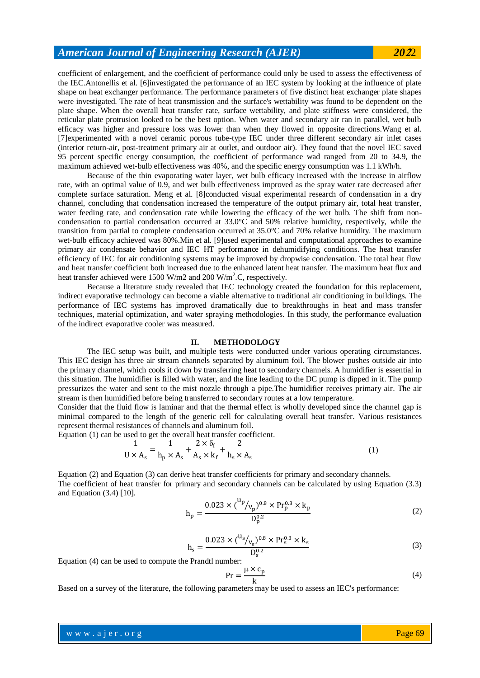## *American Journal of Engineering Research (AJER) 20***2**2

coefficient of enlargement, and the coefficient of performance could only be used to assess the effectiveness of the IEC.Antonellis et al. [6]investigated the performance of an IEC system by looking at the influence of plate shape on heat exchanger performance. The performance parameters of five distinct heat exchanger plate shapes were investigated. The rate of heat transmission and the surface's wettability was found to be dependent on the plate shape. When the overall heat transfer rate, surface wettability, and plate stiffness were considered, the reticular plate protrusion looked to be the best option. When water and secondary air ran in parallel, wet bulb efficacy was higher and pressure loss was lower than when they flowed in opposite directions.Wang et al. [7]experimented with a novel ceramic porous tube-type IEC under three different secondary air inlet cases (interior return-air, post-treatment primary air at outlet, and outdoor air). They found that the novel IEC saved 95 percent specific energy consumption, the coefficient of performance wad ranged from 20 to 34.9, the maximum achieved wet-bulb effectiveness was 40%, and the specific energy consumption was 1.1 kWh/h.

Because of the thin evaporating water layer, wet bulb efficacy increased with the increase in airflow rate, with an optimal value of 0.9, and wet bulb effectiveness improved as the spray water rate decreased after complete surface saturation. Meng et al. [8]conducted visual experimental research of condensation in a dry channel, concluding that condensation increased the temperature of the output primary air, total heat transfer, water feeding rate, and condensation rate while lowering the efficacy of the wet bulb. The shift from noncondensation to partial condensation occurred at 33.0°C and 50% relative humidity, respectively, while the transition from partial to complete condensation occurred at 35.0°C and 70% relative humidity. The maximum wet-bulb efficacy achieved was 80%.Min et al. [9]used experimental and computational approaches to examine primary air condensate behavior and IEC HT performance in dehumidifying conditions. The heat transfer efficiency of IEC for air conditioning systems may be improved by dropwise condensation. The total heat flow and heat transfer coefficient both increased due to the enhanced latent heat transfer. The maximum heat flux and heat transfer achieved were 1500 W/m2 and 200 W/m<sup>2</sup>.C, respectively.

Because a literature study revealed that IEC technology created the foundation for this replacement, indirect evaporative technology can become a viable alternative to traditional air conditioning in buildings. The performance of IEC systems has improved dramatically due to breakthroughs in heat and mass transfer techniques, material optimization, and water spraying methodologies. In this study, the performance evaluation of the indirect evaporative cooler was measured.

### **II. METHODOLOGY**

The IEC setup was built, and multiple tests were conducted under various operating circumstances. This IEC design has three air stream channels separated by aluminum foil. The blower pushes outside air into the primary channel, which cools it down by transferring heat to secondary channels. A humidifier is essential in this situation. The humidifier is filled with water, and the line leading to the DC pump is dipped in it. The pump pressurizes the water and sent to the mist nozzle through a pipe.The humidifier receives primary air. The air stream is then humidified before being transferred to secondary routes at a low temperature.

Consider that the fluid flow is laminar and that the thermal effect is wholly developed since the channel gap is minimal compared to the length of the generic cell for calculating overall heat transfer. Various resistances represent thermal resistances of channels and aluminum foil.

Equation (1) can be used to get the overall heat transfer coefficient.

$$
\frac{1}{U \times A_s} = \frac{1}{h_p \times A_s} + \frac{2 \times \delta_f}{A_s \times k_f} + \frac{2}{h_s \times A_s}
$$
(1)

Equation (2) and Equation (3) can derive heat transfer coefficients for primary and secondary channels. The coefficient of heat transfer for primary and secondary channels can be calculated by using Equation (3.3) and Equation (3.4) [10].

$$
h_p = \frac{0.023 \times {^{(lp)}\!/_{v_p}})^{0.8} \times Pr_p^{0.3} \times k_p}{D_p^{0.2}}
$$
 (2)

$$
h_s = \frac{0.023 \times (^{u_s}/_{v_s})^{0.8} \times Pr_s^{0.3} \times k_s}{D_s^{0.2}}
$$
 (3)

Equation (4) can be used to compute the Prandtl number:

$$
Pr = \frac{\mu \times c_p}{k}
$$
 (4)

Based on a survey of the literature, the following parameters may be used to assess an IEC's performance: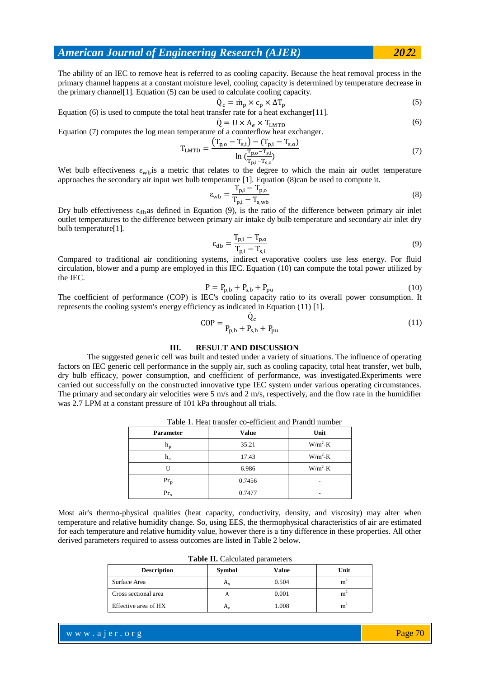### *American Journal of Engineering Research (AJER) 20***2**2

The ability of an IEC to remove heat is referred to as cooling capacity. Because the heat removal process in the primary channel happens at a constant moisture level, cooling capacity is determined by temperature decrease in the primary channel[1]. Equation (5) can be used to calculate cooling capacity.

$$
\dot{Q}_c = \dot{m}_p \times c_p \times \Delta T_p \tag{5}
$$

Equation (6) is used to compute the total heat transfer rate for a heat exchanger[11].  $\dot{Q} = U \times A_e \times T_{LMTD}$  (6)

Equation (7) computes the log mean temperature of a counterflow heat exchanger.

$$
T_{LMTD} = \frac{(T_{p,o} - T_{s,i}) - (T_{p,i} - T_{s,o})}{\ln(\frac{T_{p,o} - T_{s,i}}{T_{p,i} - T_{s,o})}}
$$
(7)

Wet bulb effectiveness  $\varepsilon_{\rm wh}$  is a metric that relates to the degree to which the main air outlet temperature approaches the secondary air input wet bulb temperature [1]. Equation (8)can be used to compute it.

$$
\varepsilon_{\rm wb} = \frac{T_{\rm p,i} - T_{\rm p,o}}{T_{\rm p,i} - T_{\rm s,wb}}
$$
\n(8)

Dry bulb effectiveness  $\varepsilon_{db}$ as defined in Equation (9), is the ratio of the difference between primary air inlet outlet temperatures to the difference between primary air intake dy bulb temperature and secondary air inlet dry bulb temperature[1].

$$
\varepsilon_{\rm db} = \frac{T_{\rm p,i} - T_{\rm p,o}}{T_{\rm p,i} - T_{\rm s,i}}\tag{9}
$$

Compared to traditional air conditioning systems, indirect evaporative coolers use less energy. For fluid circulation, blower and a pump are employed in this IEC. Equation (10) can compute the total power utilized by the IEC.

$$
P = P_{p,b} + P_{s,b} + P_{pu} \tag{10}
$$

The coefficient of performance (COP) is IEC's cooling capacity ratio to its overall power consumption. It represents the cooling system's energy efficiency as indicated in Equation (11) [1].

$$
COP = \frac{\dot{Q}_{c}}{P_{p,b} + P_{s,b} + P_{pu}}\tag{11}
$$

### **III. RESULT AND DISCUSSION**

The suggested generic cell was built and tested under a variety of situations. The influence of operating factors on IEC generic cell performance in the supply air, such as cooling capacity, total heat transfer, wet bulb, dry bulb efficacy, power consumption, and coefficient of performance, was investigated.Experiments were carried out successfully on the constructed innovative type IEC system under various operating circumstances. The primary and secondary air velocities were 5 m/s and 2 m/s, respectively, and the flow rate in the humidifier was 2.7 LPM at a constant pressure of 101 kPa throughout all trials.

| Table 1. Heat trailsich co-chheicht ailu i railuit huillioch |              |           |  |  |
|--------------------------------------------------------------|--------------|-----------|--|--|
| <b>Parameter</b>                                             | <b>Value</b> | Unit      |  |  |
| h <sub>p</sub>                                               | 35.21        | $W/m^2-K$ |  |  |
| $h_{s}$                                                      | 17.43        | $W/m^2-K$ |  |  |
|                                                              | 6.986        | $W/m^2-K$ |  |  |
| $Pr_{p}$                                                     | 0.7456       |           |  |  |
| Pr.                                                          | 0.7477       |           |  |  |

Table 1. Heat transfer co-efficient and Prandtl number

Most air's thermo-physical qualities (heat capacity, conductivity, density, and viscosity) may alter when temperature and relative humidity change. So, using EES, the thermophysical characteristics of air are estimated for each temperature and relative humidity value, however there is a tiny difference in these properties. All other derived parameters required to assess outcomes are listed in Table 2 below.

| <b>Description</b>   | <b>Symbol</b> | Value | Unit |
|----------------------|---------------|-------|------|
| Surface Area         | $n_{\rm c}$   | 0.504 | m    |
| Cross sectional area |               | 0.001 | m    |
| Effective area of HX | $n_e$         | 1.008 | m    |

**Table II.** Calculated parameters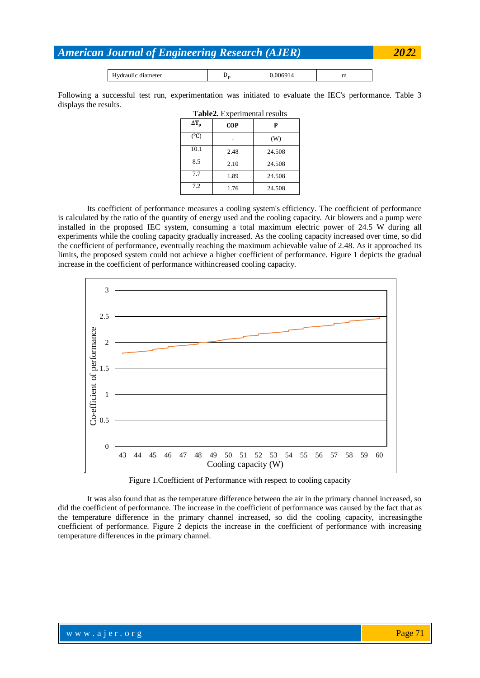# *American Journal of Engineering Research (AJER) 20***2**2

| <br>diameter<br>янн<br>. .<br>---------- | ມ⊬ |  | ÷<br>- |
|------------------------------------------|----|--|--------|
|------------------------------------------|----|--|--------|

Following a successful test run, experimentation was initiated to evaluate the IEC's performance. Table 3 displays the results.

| $\Delta T_p$  | <b>COP</b> | P      |
|---------------|------------|--------|
| $(^{\circ}C)$ |            | (W)    |
| 10.1          | 2.48       | 24.508 |
| 8.5           | 2.10       | 24.508 |
| 7.7           | 1.89       | 24.508 |
| 7.2           | 1.76       | 24.508 |

Its coefficient of performance measures a cooling system's efficiency. The coefficient of performance is calculated by the ratio of the quantity of energy used and the cooling capacity. Air blowers and a pump were installed in the proposed IEC system, consuming a total maximum electric power of 24.5 W during all experiments while the cooling capacity gradually increased. As the cooling capacity increased over time, so did the coefficient of performance, eventually reaching the maximum achievable value of 2.48. As it approached its limits, the proposed system could not achieve a higher coefficient of performance. Figure 1 depicts the gradual increase in the coefficient of performance withincreased cooling capacity.



Figure 1.Coefficient of Performance with respect to cooling capacity

It was also found that as the temperature difference between the air in the primary channel increased, so did the coefficient of performance. The increase in the coefficient of performance was caused by the fact that as the temperature difference in the primary channel increased, so did the cooling capacity, increasingthe coefficient of performance. Figure 2 depicts the increase in the coefficient of performance with increasing temperature differences in the primary channel.